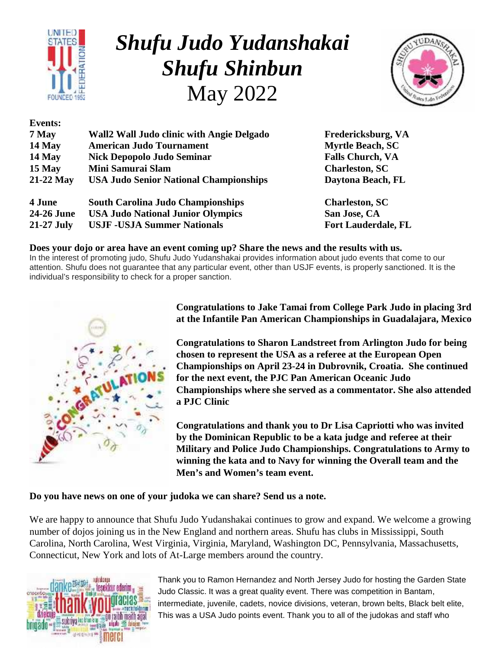

**Events:**

## *Shufu Judo Yudanshakai Shufu Shinbun* May 2022



| 7 May        | <b>Wall2 Wall Judo clinic with Angie Delgado</b> | Fredericksburg, VA         |  |
|--------------|--------------------------------------------------|----------------------------|--|
| $14$ May     | <b>American Judo Tournament</b>                  | <b>Myrtle Beach, SC</b>    |  |
| $14$ May     | <b>Nick Depopolo Judo Seminar</b>                | <b>Falls Church, VA</b>    |  |
| $15$ May     | Mini Samurai Slam                                | <b>Charleston, SC</b>      |  |
| $21-22$ May  | <b>USA Judo Senior National Championships</b>    | Daytona Beach, FL          |  |
| 4 June       | <b>South Carolina Judo Championships</b>         | <b>Charleston, SC</b>      |  |
| 24-26 June   | <b>USA Judo National Junior Olympics</b>         | San Jose, CA               |  |
| $21-27$ July | <b>USJF - USJA Summer Nationals</b>              | <b>Fort Lauderdale, FL</b> |  |

#### **Does your dojo or area have an event coming up? Share the news and the results with us.**

In the interest of promoting judo, Shufu Judo Yudanshakai provides information about judo events that come to our attention. Shufu does not guarantee that any particular event, other than USJF events, is properly sanctioned. It is the individual's responsibility to check for a proper sanction.



**Congratulations to Jake Tamai from College Park Judo in placing 3rd at the Infantile Pan American Championships in Guadalajara, Mexico**

**Congratulations to Sharon Landstreet from Arlington Judo for being chosen to represent the USA as a referee at the European Open Championships on April 23-24 in Dubrovnik, Croatia. She continued for the next event, the PJC Pan American Oceanic Judo Championships where she served as a commentator. She also attended a PJC Clinic**

**Congratulations and thank you to Dr Lisa Capriotti who was invited by the Dominican Republic to be a kata judge and referee at their Military and Police Judo Championships. Congratulations to Army to winning the kata and to Navy for winning the Overall team and the Men's and Women's team event.**

**Do you have news on one of your judoka we can share? Send us a note.**

We are happy to announce that Shufu Judo Yudanshakai continues to grow and expand. We welcome a growing number of dojos joining us in the New England and northern areas. Shufu has clubs in Mississippi, South Carolina, North Carolina, West Virginia, Virginia, Maryland, Washington DC, Pennsylvania, Massachusetts, Connecticut, New York and lots of At-Large members around the country.



Thank you to Ramon Hernandez and North Jersey Judo for hosting the Garden State Judo Classic. It was a great quality event. There was competition in Bantam, intermediate, juvenile, cadets, novice divisions, veteran, brown belts, Black belt elite, This was a USA Judo points event. Thank you to all of the judokas and staff who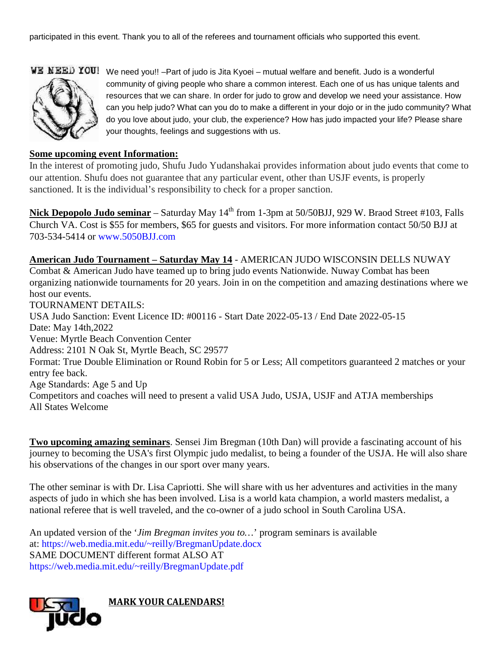participated in this event. Thank you to all of the referees and tournament officials who supported this event.



WE NEED YOU! We need you!! -Part of judo is Jita Kyoei – mutual welfare and benefit. Judo is a wonderful community of giving people who share a common interest. Each one of us has unique talents and resources that we can share. In order for judo to grow and develop we need your assistance. How can you help judo? What can you do to make a different in your dojo or in the judo community? What do you love about judo, your club, the experience? How has judo impacted your life? Please share your thoughts, feelings and suggestions with us.

#### **Some upcoming event Information:**

In the interest of promoting judo, Shufu Judo Yudanshakai provides information about judo events that come to our attention. Shufu does not guarantee that any particular event, other than USJF events, is properly sanctioned. It is the individual's responsibility to check for a proper sanction.

Nick Depopolo Judo seminar – Saturday May 14<sup>th</sup> from 1-3pm at 50/50BJJ, 929 W. Braod Street #103, Falls Church VA. Cost is \$55 for members, \$65 for guests and visitors. For more information contact 50/50 BJJ at 703-534-5414 or www.5050BJJ.com

**American Judo Tournament – Saturday May 14** - AMERICAN JUDO WISCONSIN DELLS NUWAY Combat & American Judo have teamed up to bring judo events Nationwide. Nuway Combat has been organizing nationwide tournaments for 20 years. Join in on the competition and amazing destinations where we host our events. TOURNAMENT DETAILS: USA Judo Sanction: Event Licence ID: #00116 - Start Date 2022-05-13 / End Date 2022-05-15 Date: May 14th,2022 Venue: Myrtle Beach Convention Center Address: 2101 N Oak St, Myrtle Beach, SC 29577 Format: True Double Elimination or Round Robin for 5 or Less; All competitors guaranteed 2 matches or your entry fee back. Age Standards: Age 5 and Up Competitors and coaches will need to present a valid USA Judo, USJA, USJF and ATJA memberships All States Welcome

**Two upcoming amazing seminars**. Sensei Jim Bregman (10th Dan) will provide a fascinating account of his journey to becoming the USA's first Olympic judo medalist, to being a founder of the USJA. He will also share his observations of the changes in our sport over many years.

The other seminar is with Dr. Lisa Capriotti. She will share with us her adventures and activities in the many aspects of judo in which she has been involved. Lisa is a world kata champion, a world masters medalist, a national referee that is well traveled, and the co-owner of a judo school in South Carolina USA.

An updated version of the '*Jim Bregman invites you to…*' program seminars is available at: https://web.media.mit.edu/~reilly/BregmanUpdate.docx SAME DOCUMENT different format ALSO AT https://web.media.mit.edu/~reilly/BregmanUpdate.pdf

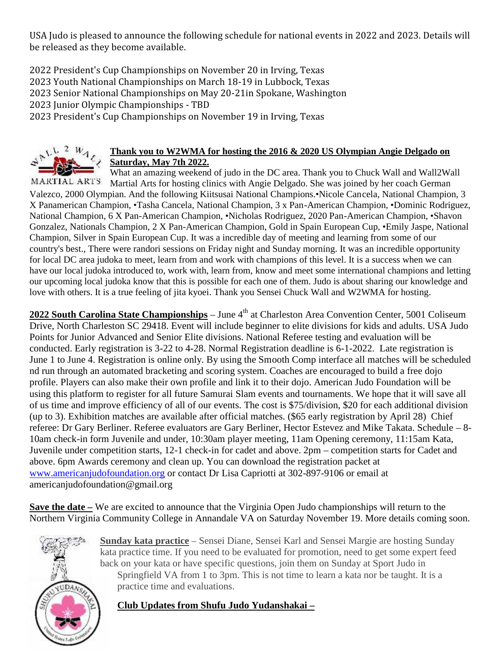USA Judo is pleased to announce the following schedule for national events in 2022 and 2023. Details will be released as they become available.

2022 President's Cup Championships on November 20 in Irving, Texas

2023 Youth National Championships on March 18-19 in Lubbock, Texas

2023 Senior National Championships on May 20-21in Spokane, Washington

2023 Junior Olympic Championships - TBD

2023 President's Cup Championships on November 19 in Irving, Texas



#### **Thank you to W2WMA for hosting the 2016 & 2020 US Olympian Angie Delgado on Saturday, May 7th 2022.**

What an amazing weekend of judo in the DC area. Thank you to Chuck Wall and Wall2Wall MARTIAL ARTS Martial Arts for hosting clinics with Angie Delgado. She was joined by her coach German Valezco, 2000 Olympian. And the following Kiitsusai National Champions.•Nicole Cancela, National Champion, 3 X Panamerican Champion, •Tasha Cancela, National Champion, 3 x Pan-American Champion, •Dominic Rodriguez, National Champion, 6 X Pan-American Champion, •Nicholas Rodriguez, 2020 Pan-American Champion, •Shavon Gonzalez, Nationals Champion, 2 X Pan-American Champion, Gold in Spain European Cup, •Emily Jaspe, National Champion, Silver in Spain European Cup. It was a incredible day of meeting and learning from some of our country's best., There were randori sessions on Friday night and Sunday morning. It was an incredible opportunity for local DC area judoka to meet, learn from and work with champions of this level. It is a success when we can have our local judoka introduced to, work with, learn from, know and meet some international champions and letting our upcoming local judoka know that this is possible for each one of them. Judo is about sharing our knowledge and love with others. It is a true feeling of jita kyoei. Thank you Sensei Chuck Wall and W2WMA for hosting.

**2022 South Carolina State Championships** – June 4<sup>th</sup> at Charleston Area Convention Center, 5001 Coliseum Drive, North Charleston SC 29418. Event will include beginner to elite divisions for kids and adults. USA Judo Points for Junior Advanced and Senior Elite divisions. National Referee testing and evaluation will be conducted. Early registration is 3-22 to 4-28. Normal Registration deadline is 6-1-2022. Late registration is June 1 to June 4. Registration is online only. By using the Smooth Comp interface all matches will be scheduled nd run through an automated bracketing and scoring system. Coaches are encouraged to build a free dojo profile. Players can also make their own profile and link it to their dojo. American Judo Foundation will be using this platform to register for all future Samurai Slam events and tournaments. We hope that it will save all of us time and improve efficiency of all of our events. The cost is \$75/division, \$20 for each additional division (up to 3). Exhibition matches are available after official matches. (\$65 early registration by April 28) Chief referee: Dr Gary Berliner. Referee evaluators are Gary Berliner, Hector Estevez and Mike Takata. Schedule – 8- 10am check-in form Juvenile and under, 10:30am player meeting, 11am Opening ceremony, 11:15am Kata, Juvenile under competition starts, 12-1 check-in for cadet and above. 2pm – competition starts for Cadet and above. 6pm Awards ceremony and clean up. You can download the registration packet at www.americanjudofoundation.org or contact Dr Lisa Capriotti at 302-897-9106 or email at americanjudofoundation@gmail.org

**Save the date –** We are excited to announce that the Virginia Open Judo championships will return to the Northern Virginia Community College in Annandale VA on Saturday November 19. More details coming soon.



**Sunday kata practice** – Sensei Diane, Sensei Karl and Sensei Margie are hosting Sunday kata practice time. If you need to be evaluated for promotion, need to get some expert feed back on your kata or have specific questions, join them on Sunday at Sport Judo in Springfield VA from 1 to 3pm. This is not time to learn a kata nor be taught. It is a practice time and evaluations.

**Club Updates from Shufu Judo Yudanshakai –**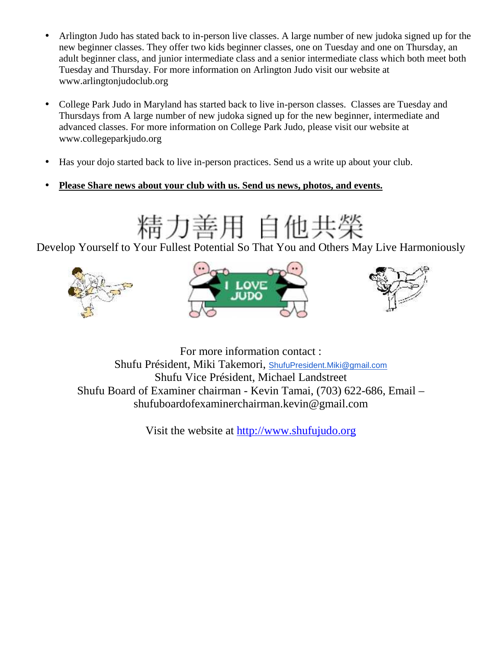- Arlington Judo has stated back to in-person live classes. A large number of new judoka signed up for the new beginner classes. They offer two kids beginner classes, one on Tuesday and one on Thursday, an adult beginner class, and junior intermediate class and a senior intermediate class which both meet both Tuesday and Thursday. For more information on Arlington Judo visit our website at www.arlingtonjudoclub.org
- College Park Judo in Maryland has started back to live in-person classes. Classes are Tuesday and Thursdays from A large number of new judoka signed up for the new beginner, intermediate and advanced classes. For more information on College Park Judo, please visit our website at www.collegeparkjudo.org
- Has your dojo started back to live in-person practices. Send us a write up about your club.
- **Please Share news about your club with us. Send us news, photos, and events.**

# 精力善用 自他共榮

Develop Yourself to Your Fullest Potential So That You and Others May Live Harmoniously







For more information contact : Shufu Président, Miki Takemori, ShufuPresident.Miki@gmail.com Shufu Vice Président, Michael Landstreet Shufu Board of Examiner chairman - Kevin Tamai, (703) 622-686, Email – shufuboardofexaminerchairman.kevin@gmail.com

Visit the website at http://www.shufujudo.org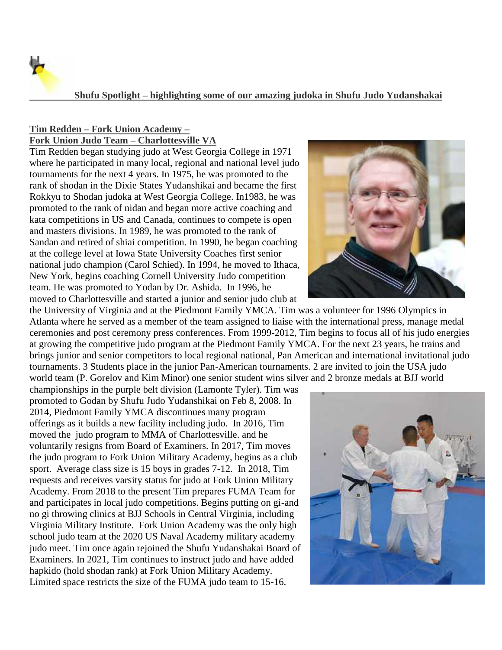

#### **Shufu Spotlight – highlighting some of our amazing judoka in Shufu Judo Yudanshakai**

#### **Tim Redden – Fork Union Academy – Fork Union Judo Team – Charlottesville VA**

Tim Redden began studying judo at West Georgia College in 1971 where he participated in many local, regional and national level judo tournaments for the next 4 years. In 1975, he was promoted to the rank of shodan in the Dixie States Yudanshikai and became the first Rokkyu to Shodan judoka at West Georgia College. In1983, he was promoted to the rank of nidan and began more active coaching and kata competitions in US and Canada, continues to compete is open and masters divisions. In 1989, he was promoted to the rank of Sandan and retired of shiai competition. In 1990, he began coaching at the college level at Iowa State University Coaches first senior national judo champion (Carol Schied). In 1994, he moved to Ithaca, New York, begins coaching Cornell University Judo competition team. He was promoted to Yodan by Dr. Ashida. In 1996, he moved to Charlottesville and started a junior and senior judo club at



the University of Virginia and at the Piedmont Family YMCA. Tim was a volunteer for 1996 Olympics in Atlanta where he served as a member of the team assigned to liaise with the international press, manage medal ceremonies and post ceremony press conferences. From 1999-2012, Tim begins to focus all of his judo energies at growing the competitive judo program at the Piedmont Family YMCA. For the next 23 years, he trains and brings junior and senior competitors to local regional national, Pan American and international invitational judo tournaments. 3 Students place in the junior Pan-American tournaments. 2 are invited to join the USA judo world team (P. Gorelov and Kim Minor) one senior student wins silver and 2 bronze medals at BJJ world

championships in the purple belt division (Lamonte Tyler). Tim was promoted to Godan by Shufu Judo Yudanshikai on Feb 8, 2008. In 2014, Piedmont Family YMCA discontinues many program offerings as it builds a new facility including judo. In 2016, Tim moved the judo program to MMA of Charlottesville. and he voluntarily resigns from Board of Examiners. In 2017, Tim moves the judo program to Fork Union Military Academy, begins as a club sport. Average class size is 15 boys in grades 7-12. In 2018, Tim requests and receives varsity status for judo at Fork Union Military Academy. From 2018 to the present Tim prepares FUMA Team for and participates in local judo competitions. Begins putting on gi-and no gi throwing clinics at BJJ Schools in Central Virginia, including Virginia Military Institute. Fork Union Academy was the only high school judo team at the 2020 US Naval Academy military academy judo meet. Tim once again rejoined the Shufu Yudanshakai Board of Examiners. In 2021, Tim continues to instruct judo and have added hapkido (hold shodan rank) at Fork Union Military Academy. Limited space restricts the size of the FUMA judo team to 15-16.

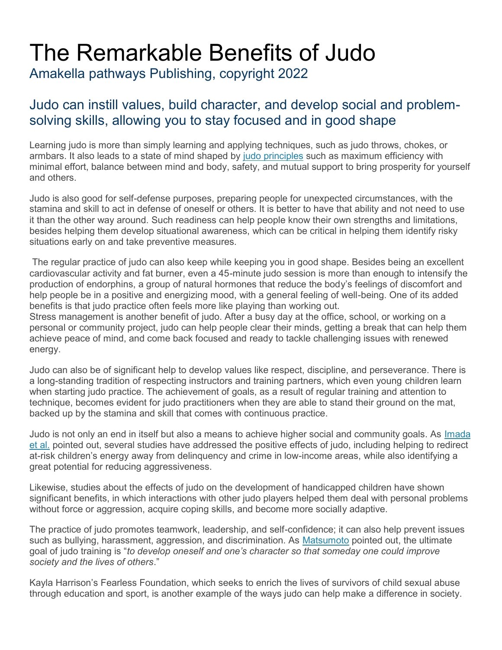## The Remarkable Benefits of Judo

Amakella pathways Publishing, copyright 2022

### Judo can instill values, build character, and develop social and problem solving skills, allowing you to stay focused and in good shape

Learning judo is more than simply learning and applying techniques, such as judo throws, chokes, or armbars. It also leads to a state of mind shaped by judo principles such as maximum efficiency with minimal effort, balance between mind and body, safety, and mutual support to bring prosperity for yourself and others.

Judo is also good for self-defense purposes, preparing people for unexpected circumstances, with the stamina and skill to act in defense of oneself or others. It is better to have that ability and not need to use it than the other way around. Such readiness can help people know their own strengths and limitations, besides helping them develop situational awareness, which can be critical in helping them identify risky situations early on and take preventive measures.

The regular practice of judo can also keep while keeping you in good shape. Besides being an excellent cardiovascular activity and fat burner, even a 45-minute judo session is more than enough to intensify the production of endorphins, a group of natural hormones that reduce the body's feelings of discomfort and help people be in a positive and energizing mood, with a general feeling of well-being. One of its added benefits is that judo practice often feels more like playing than working out.

Stress management is another benefit of judo. After a busy day at the office, school, or working on a personal or community project, judo can help people clear their minds, getting a break that can help them achieve peace of mind, and come back focused and ready to tackle challenging issues with renewed energy.

Judo can also be of significant help to develop values like respect, discipline, and perseverance. There is a long-standing tradition of respecting instructors and training partners, which even young children learn when starting judo practice. The achievement of goals, as a result of regular training and attention to technique, becomes evident for judo practitioners when they are able to stand their ground on the mat, backed up by the stamina and skill that comes with continuous practice.

Judo is not only an end in itself but also a means to achieve higher social and community goals. As Imada et al. pointed out, several studies have addressed the positive effects of judo, including helping to redirect at-risk children's energy away from delinquency and crime in low-income areas, while also identifying a great potential for reducing aggressiveness.

Likewise, studies about the effects of judo on the development of handicapped children have shown significant benefits, in which interactions with other judo players helped them deal with personal problems without force or aggression, acquire coping skills, and become more socially adaptive.

The practice of judo promotes teamwork, leadership, and self-confidence; it can also help prevent issues such as bullying, harassment, aggression, and discrimination. As Matsumoto pointed out, the ultimate goal of judo training is "*to develop oneself and one's character so that someday one could improve society and the lives of others*."

Kayla Harrison's Fearless Foundation, which seeks to enrich the lives of survivors of child sexual abuse through education and sport, is another example of the ways judo can help make a difference in society.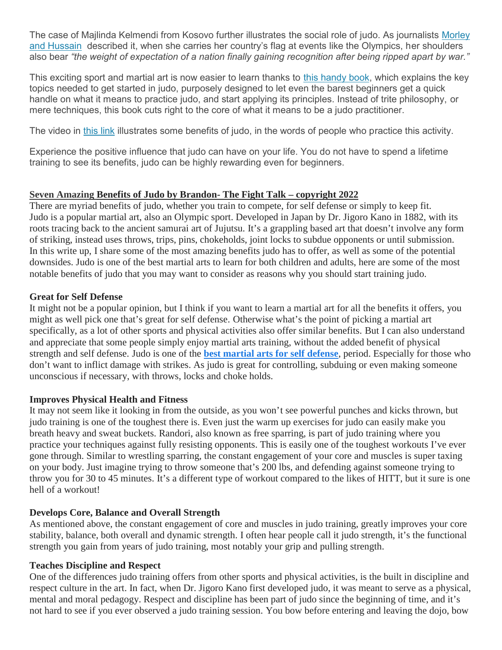The case of Majlinda Kelmendi from Kosovo further illustrates the social role of judo. As journalists Morley and Hussain described it, when she carries her country's flag at events like the Olympics, her shoulders also bear *"the weight of expectation of a nation finally gaining recognition after being ripped apart by war."*

This exciting sport and martial art is now easier to learn thanks to this handy book, which explains the key topics needed to get started in judo, purposely designed to let even the barest beginners get a quick handle on what it means to practice judo, and start applying its principles. Instead of trite philosophy, or mere techniques, this book cuts right to the core of what it means to be a judo practitioner.

The video in this link illustrates some benefits of judo, in the words of people who practice this activity.

Experience the positive influence that judo can have on your life. You do not have to spend a lifetime training to see its benefits, judo can be highly rewarding even for beginners.

#### **Seven Amazing Benefits of Judo by Brandon- The Fight Talk – copyright 2022**

There are myriad benefits of judo, whether you train to compete, for self defense or simply to keep fit. Judo is a popular martial art, also an Olympic sport. Developed in Japan by Dr. Jigoro Kano in 1882, with its roots tracing back to the ancient samurai art of Jujutsu. It's a grappling based art that doesn't involve any form of striking, instead uses throws, trips, pins, chokeholds, joint locks to subdue opponents or until submission. In this write up, I share some of the most amazing benefits judo has to offer, as well as some of the potential downsides. Judo is one of the best martial arts to learn for both children and adults, here are some of the most notable benefits of judo that you may want to consider as reasons why you should start training judo.

#### **Great for Self Defense**

It might not be a popular opinion, but I think if you want to learn a martial art for all the benefits it offers, you might as well pick one that's great for self defense. Otherwise what's the point of picking a martial art specifically, as a lot of other sports and physical activities also offer similar benefits. But I can also understand and appreciate that some people simply enjoy martial arts training, without the added benefit of physical strength and self defense. Judo is one of the **best martial arts for self defense**, period. Especially for those who don't want to inflict damage with strikes. As judo is great for controlling, subduing or even making someone unconscious if necessary, with throws, locks and choke holds.

#### **Improves Physical Health and Fitness**

It may not seem like it looking in from the outside, as you won't see powerful punches and kicks thrown, but judo training is one of the toughest there is. Even just the warm up exercises for judo can easily make you breath heavy and sweat buckets. Randori, also known as free sparring, is part of judo training where you practice your techniques against fully resisting opponents. This is easily one of the toughest workouts I've ever gone through. Similar to wrestling sparring, the constant engagement of your core and muscles is super taxing on your body. Just imagine trying to throw someone that's 200 lbs, and defending against someone trying to throw you for 30 to 45 minutes. It's a different type of workout compared to the likes of HITT, but it sure is one hell of a workout!

#### **Develops Core, Balance and Overall Strength**

As mentioned above, the constant engagement of core and muscles in judo training, greatly improves your core stability, balance, both overall and dynamic strength. I often hear people call it judo strength, it's the functional strength you gain from years of judo training, most notably your grip and pulling strength.

#### **Teaches Discipline and Respect**

One of the differences judo training offers from other sports and physical activities, is the built in discipline and respect culture in the art. In fact, when Dr. Jigoro Kano first developed judo, it was meant to serve as a physical, mental and moral pedagogy. Respect and discipline has been part of judo since the beginning of time, and it's not hard to see if you ever observed a judo training session. You bow before entering and leaving the dojo, bow